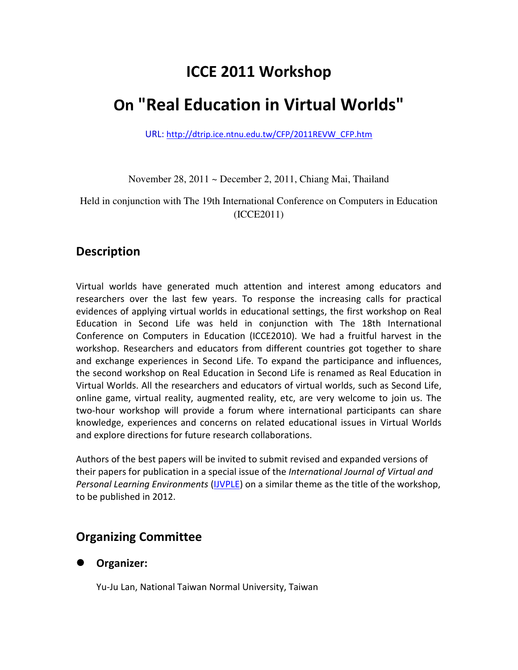## **ICCE 2011 Workshop**

# **On "Real Education in Virtual Worlds"**

URL: http://dtrip.ice.ntnu.edu.tw/CFP/2011REVW\_CFP.htm

November 28, 2011 ~ December 2, 2011, Chiang Mai, Thailand

Held in conjunction with The 19th International Conference on Computers in Education (ICCE2011)

### **Description**

Virtual worlds have generated much attention and interest among educators and researchers over the last few years. To response the increasing calls for practical evidences of applying virtual worlds in educational settings, the first workshop on Real Education in Second Life was held in conjunction with The 18th International Conference on Computers in Education (ICCE2010). We had a fruitful harvest in the workshop. Researchers and educators from different countries got together to share and exchange experiences in Second Life. To expand the participance and influences, the second workshop on Real Education in Second Life is renamed as Real Education in Virtual Worlds. All the researchers and educators of virtual worlds, such as Second Life, online game, virtual reality, augmented reality, etc, are very welcome to join us. The two-hour workshop will provide a forum where international participants can share knowledge, experiences and concerns on related educational issues in Virtual Worlds and explore directions for future research collaborations.

Authors of the best papers will be invited to submit revised and expanded versions of their papers for publication in a special issue of the *International Journal of Virtual and Personal Learning Environments* (IJVPLE) on a similar theme as the title of the workshop, to be published in 2012.

## **Organizing Committee**

#### **Organizer:**

Yu-Ju Lan, National Taiwan Normal University, Taiwan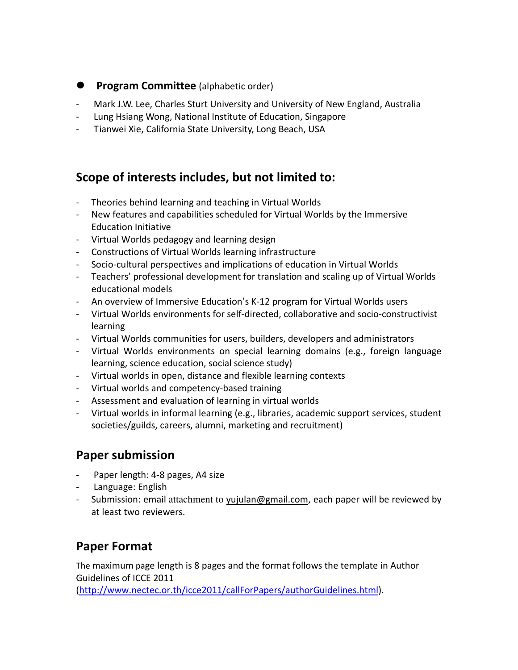- **Program Committee** (alphabetic order)
- Mark J.W. Lee, Charles Sturt University and University of New England, Australia
- Lung Hsiang Wong, National Institute of Education, Singapore
- Tianwei Xie, California State University, Long Beach, USA

## **Scope of interests includes, but not limited to:**

- Theories behind learning and teaching in Virtual Worlds
- New features and capabilities scheduled for Virtual Worlds by the Immersive Education Initiative
- Virtual Worlds pedagogy and learning design
- Constructions of Virtual Worlds learning infrastructure
- Socio-cultural perspectives and implications of education in Virtual Worlds
- Teachers' professional development for translation and scaling up of Virtual Worlds educational models
- An overview of Immersive Education's K-12 program for Virtual Worlds users
- Virtual Worlds environments for self-directed, collaborative and socio-constructivist learning
- Virtual Worlds communities for users, builders, developers and administrators
- Virtual Worlds environments on special learning domains (e.g., foreign language learning, science education, social science study)
- Virtual worlds in open, distance and flexible learning contexts
- Virtual worlds and competency-based training
- Assessment and evaluation of learning in virtual worlds
- Virtual worlds in informal learning (e.g., libraries, academic support services, student societies/guilds, careers, alumni, marketing and recruitment)

## **Paper submission**

- Paper length: 4-8 pages, A4 size
- Language: English
- Submission: email attachment to yujulan@gmail.com, each paper will be reviewed by at least two reviewers.

## **Paper Format**

The maximum page length is 8 pages and the format follows the template in Author Guidelines of ICCE 2011

(http://www.nectec.or.th/icce2011/callForPapers/authorGuidelines.html).